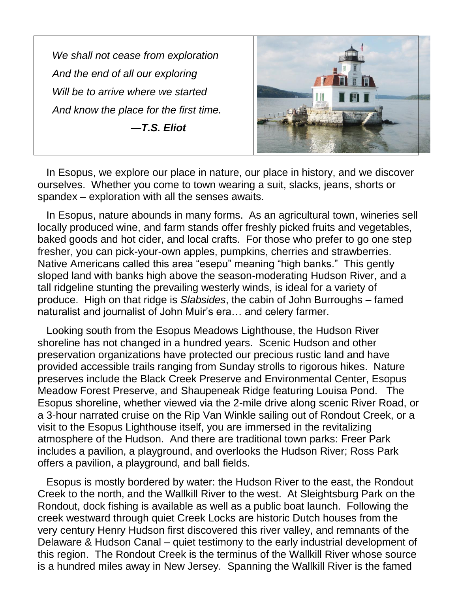*We shall not cease from exploration And the end of all our exploring Will be to arrive where we started And know the place for the first time. —T.S. Eliot*



 In Esopus, we explore our place in nature, our place in history, and we discover ourselves. Whether you come to town wearing a suit, slacks, jeans, shorts or spandex – exploration with all the senses awaits.

 In Esopus, nature abounds in many forms. As an agricultural town, wineries sell locally produced wine, and farm stands offer freshly picked fruits and vegetables, baked goods and hot cider, and local crafts. For those who prefer to go one step fresher, you can pick-your-own apples, pumpkins, cherries and strawberries. Native Americans called this area "esepu" meaning "high banks." This gently sloped land with banks high above the season-moderating Hudson River, and a tall ridgeline stunting the prevailing westerly winds, is ideal for a variety of produce. High on that ridge is *Slabsides*, the cabin of John Burroughs – famed naturalist and journalist of John Muir's era… and celery farmer.

 Looking south from the Esopus Meadows Lighthouse, the Hudson River shoreline has not changed in a hundred years. Scenic Hudson and other preservation organizations have protected our precious rustic land and have provided accessible trails ranging from Sunday strolls to rigorous hikes. Nature preserves include the Black Creek Preserve and Environmental Center, Esopus Meadow Forest Preserve, and Shaupeneak Ridge featuring Louisa Pond. The Esopus shoreline, whether viewed via the 2-mile drive along scenic River Road, or a 3-hour narrated cruise on the Rip Van Winkle sailing out of Rondout Creek, or a visit to the Esopus Lighthouse itself, you are immersed in the revitalizing atmosphere of the Hudson. And there are traditional town parks: Freer Park includes a pavilion, a playground, and overlooks the Hudson River; Ross Park offers a pavilion, a playground, and ball fields.

 Esopus is mostly bordered by water: the Hudson River to the east, the Rondout Creek to the north, and the Wallkill River to the west. At Sleightsburg Park on the Rondout, dock fishing is available as well as a public boat launch. Following the creek westward through quiet Creek Locks are historic Dutch houses from the very century Henry Hudson first discovered this river valley, and remnants of the Delaware & Hudson Canal – quiet testimony to the early industrial development of this region. The Rondout Creek is the terminus of the Wallkill River whose source is a hundred miles away in New Jersey. Spanning the Wallkill River is the famed